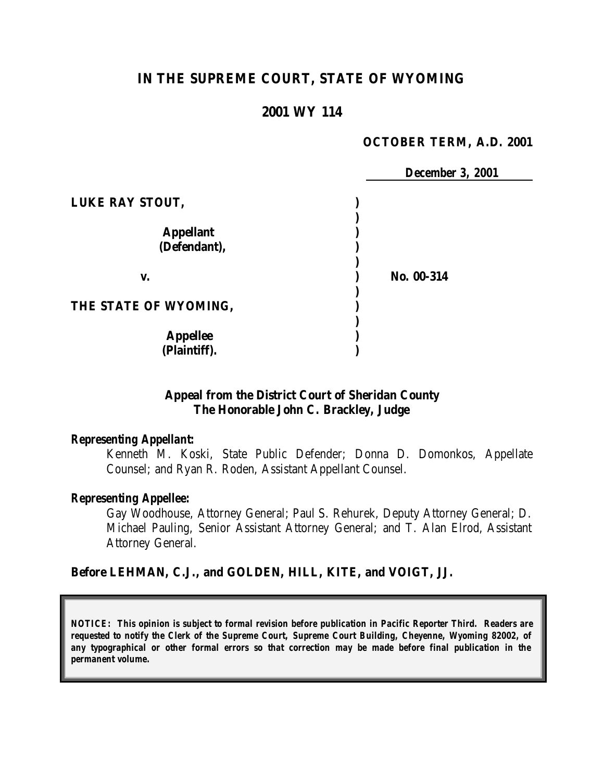# **IN THE SUPREME COURT, STATE OF WYOMING**

### **2001 WY 114**

#### **OCTOBER TERM, A.D. 2001**

|                       | <b>December 3, 2001</b> |
|-----------------------|-------------------------|
| LUKE RAY STOUT,       |                         |
|                       |                         |
| <b>Appellant</b>      |                         |
| (Defendant),          |                         |
|                       |                         |
| V.                    | No. 00-314              |
|                       |                         |
| THE STATE OF WYOMING, |                         |
|                       |                         |
| <b>Appellee</b>       |                         |
| (Plaintiff).          |                         |

#### **Appeal from the District Court of Sheridan County The Honorable John C. Brackley, Judge**

#### *Representing Appellant:*

Kenneth M. Koski, State Public Defender; Donna D. Domonkos, Appellate Counsel; and Ryan R. Roden, Assistant Appellant Counsel.

#### *Representing Appellee:*

Gay Woodhouse, Attorney General; Paul S. Rehurek, Deputy Attorney General; D. Michael Pauling, Senior Assistant Attorney General; and T. Alan Elrod, Assistant Attorney General.

#### **Before LEHMAN, C.J., and GOLDEN, HILL, KITE, and VOIGT, JJ.**

*NOTICE: This opinion is subject to formal revision before publication in Pacific Reporter Third. Readers are requested to notify the Clerk of the Supreme Court, Supreme Court Building, Cheyenne, Wyoming 82002, of any typographical or other formal errors so that correction may be made before final publication in the permanent volume.*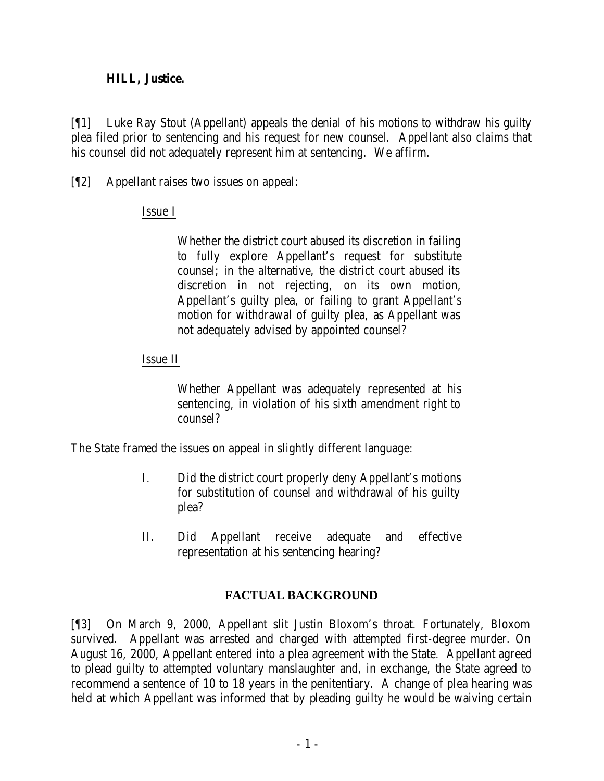### **HILL, Justice.**

[¶1] Luke Ray Stout (Appellant) appeals the denial of his motions to withdraw his guilty plea filed prior to sentencing and his request for new counsel. Appellant also claims that his counsel did not adequately represent him at sentencing. We affirm.

[¶2] Appellant raises two issues on appeal:

## Issue I

Whether the district court abused its discretion in failing to fully explore Appellant's request for substitute counsel; in the alternative, the district court abused its discretion in not rejecting, on its own motion, Appellant's guilty plea, or failing to grant Appellant's motion for withdrawal of guilty plea, as Appellant was not adequately advised by appointed counsel?

## Issue II

Whether Appellant was adequately represented at his sentencing, in violation of his sixth amendment right to counsel?

The State framed the issues on appeal in slightly different language:

- I. Did the district court properly deny Appellant's motions for substitution of counsel and withdrawal of his guilty plea?
- II. Did Appellant receive adequate and effective representation at his sentencing hearing?

## **FACTUAL BACKGROUND**

[¶3] On March 9, 2000, Appellant slit Justin Bloxom's throat. Fortunately, Bloxom survived. Appellant was arrested and charged with attempted first-degree murder. On August 16, 2000, Appellant entered into a plea agreement with the State. Appellant agreed to plead guilty to attempted voluntary manslaughter and, in exchange, the State agreed to recommend a sentence of 10 to 18 years in the penitentiary. A change of plea hearing was held at which Appellant was informed that by pleading guilty he would be waiving certain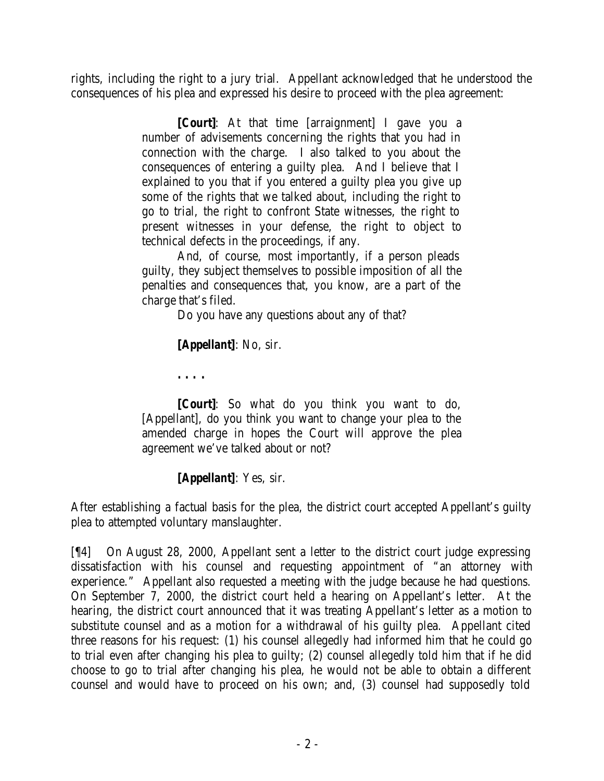rights, including the right to a jury trial. Appellant acknowledged that he understood the consequences of his plea and expressed his desire to proceed with the plea agreement:

> **[***Court***]**: At that time [arraignment] I gave you a number of advisements concerning the rights that you had in connection with the charge. I also talked to you about the consequences of entering a guilty plea. And I believe that I explained to you that if you entered a guilty plea you give up some of the rights that we talked about, including the right to go to trial, the right to confront State witnesses, the right to present witnesses in your defense, the right to object to technical defects in the proceedings, if any.

> And, of course, most importantly, if a person pleads guilty, they subject themselves to possible imposition of all the penalties and consequences that, you know, are a part of the charge that's filed.

> > Do you have any questions about any of that?

**[***Appellant***]**: No, sir.

**. . . .**

**[***Court***]**: So what do you think you want to do, [Appellant], do you think you want to change your plea to the amended charge in hopes the Court will approve the plea agreement we've talked about or not?

**[***Appellant***]**: Yes, sir.

After establishing a factual basis for the plea, the district court accepted Appellant's guilty plea to attempted voluntary manslaughter.

[¶4] On August 28, 2000, Appellant sent a letter to the district court judge expressing dissatisfaction with his counsel and requesting appointment of "an attorney with experience." Appellant also requested a meeting with the judge because he had questions. On September 7, 2000, the district court held a hearing on Appellant's letter. At the hearing, the district court announced that it was treating Appellant's letter as a motion to substitute counsel and as a motion for a withdrawal of his guilty plea. Appellant cited three reasons for his request: (1) his counsel allegedly had informed him that he could go to trial even after changing his plea to guilty; (2) counsel allegedly told him that if he did choose to go to trial after changing his plea, he would not be able to obtain a different counsel and would have to proceed on his own; and, (3) counsel had supposedly told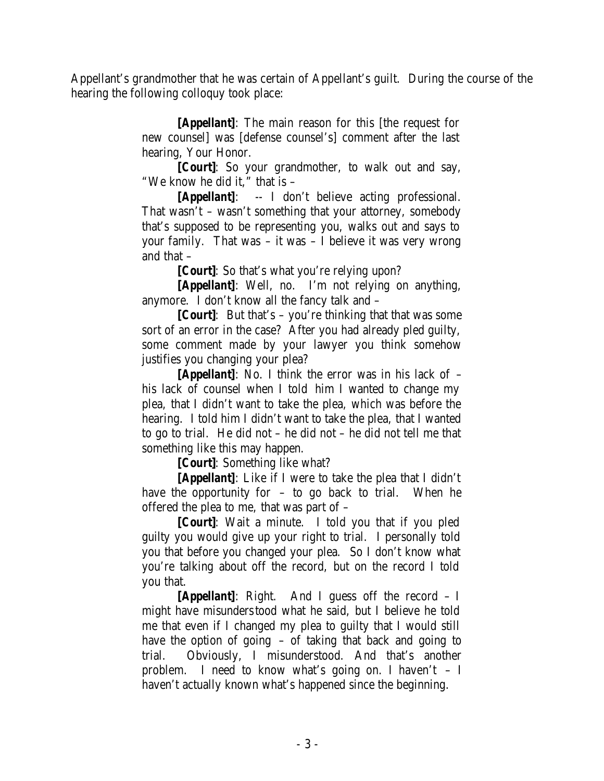Appellant's grandmother that he was certain of Appellant's guilt. During the course of the hearing the following colloquy took place:

> **[***Appellant***]**: The main reason for this [the request for new counsel] was [defense counsel's] comment after the last hearing, Your Honor.

> **[***Court***]**: So your grandmother, to walk out and say, "We know he did it," that is –

> **[***Appellant***]**: -- I don't believe acting professional. That wasn't – wasn't something that your attorney, somebody that's supposed to be representing you, walks out and says to your family. That was – it was – I believe it was very wrong and that –

**[***Court***]**: So that's what you're relying upon?

**[***Appellant***]**: Well, no. I'm not relying on anything, anymore. I don't know all the fancy talk and –

**[***Court***]**: But that's – you're thinking that that was some sort of an error in the case? After you had already pled guilty, some comment made by your lawyer you think somehow justifies you changing your plea?

**[***Appellant***]**: No. I think the error was in his lack of – his lack of counsel when I told him I wanted to change my plea, that I didn't want to take the plea, which was before the hearing. I told him I didn't want to take the plea, that I wanted to go to trial. He did not – he did not – he did not tell me that something like this may happen.

**[***Court***]**: Something like what?

**[***Appellant***]**: Like if I were to take the plea that I didn't have the opportunity for  $-$  to go back to trial. When he offered the plea to me, that was part of –

**[***Court***]**: Wait a minute. I told you that if you pled guilty you would give up your right to trial. I personally told you that before you changed your plea. So I don't know what you're talking about off the record, but on the record I told you that.

**[***Appellant***]**: Right. And I guess off the record – I might have misunderstood what he said, but I believe he told me that even if I changed my plea to guilty that I would still have the option of going – of taking that back and going to trial. Obviously, I misunderstood. And that's another problem. I need to know what's going on. I haven't  $- I$ haven't actually known what's happened since the beginning.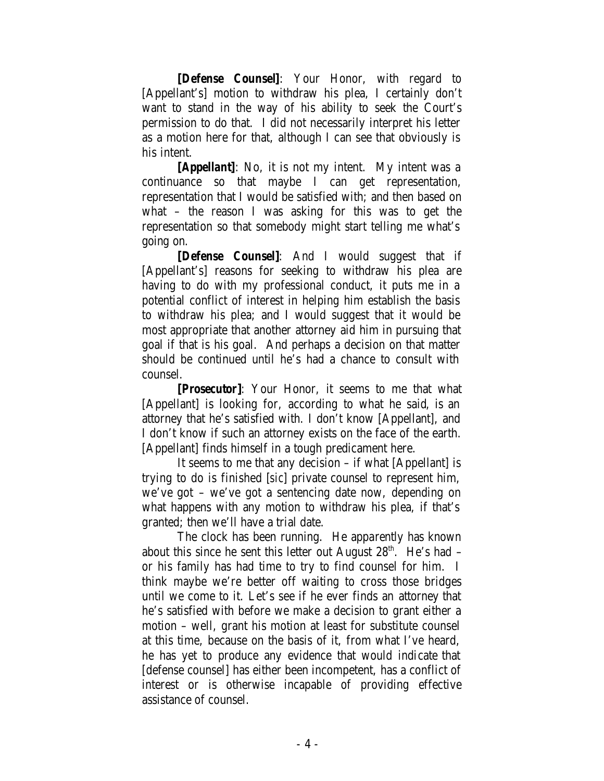**[***Defense Counsel***]**: Your Honor, with regard to [Appellant's] motion to withdraw his plea, I certainly don't want to stand in the way of his ability to seek the Court's permission to do that. I did not necessarily interpret his letter as a motion here for that, although I can see that obviously is his intent.

**[***Appellant***]**: No, it is not my intent. My intent was a continuance so that maybe I can get representation, representation that I would be satisfied with; and then based on what – the reason I was asking for this was to get the representation so that somebody might start telling me what's going on.

**[***Defense Counsel***]**: And I would suggest that if [Appellant's] reasons for seeking to withdraw his plea are having to do with my professional conduct, it puts me in a potential conflict of interest in helping him establish the basis to withdraw his plea; and I would suggest that it would be most appropriate that another attorney aid him in pursuing that goal if that is his goal. And perhaps a decision on that matter should be continued until he's had a chance to consult with counsel.

**[***Prosecutor***]**: Your Honor, it seems to me that what [Appellant] is looking for, according to what he said, is an attorney that he's satisfied with. I don't know [Appellant], and I don't know if such an attorney exists on the face of the earth. [Appellant] finds himself in a tough predicament here.

It seems to me that any decision – if what [Appellant] is trying to do is finished [*sic*] private counsel to represent him, we've got – we've got a sentencing date now, depending on what happens with any motion to withdraw his plea, if that's granted; then we'll have a trial date.

The clock has been running. He apparently has known about this since he sent this letter out August  $28<sup>th</sup>$ . He's had – or his family has had time to try to find counsel for him. I think maybe we're better off waiting to cross those bridges until we come to it. Let's see if he ever finds an attorney that he's satisfied with before we make a decision to grant either a motion – well, grant his motion at least for substitute counsel at this time, because on the basis of it, from what I've heard, he has yet to produce any evidence that would indicate that [defense counsel] has either been incompetent, has a conflict of interest or is otherwise incapable of providing effective assistance of counsel.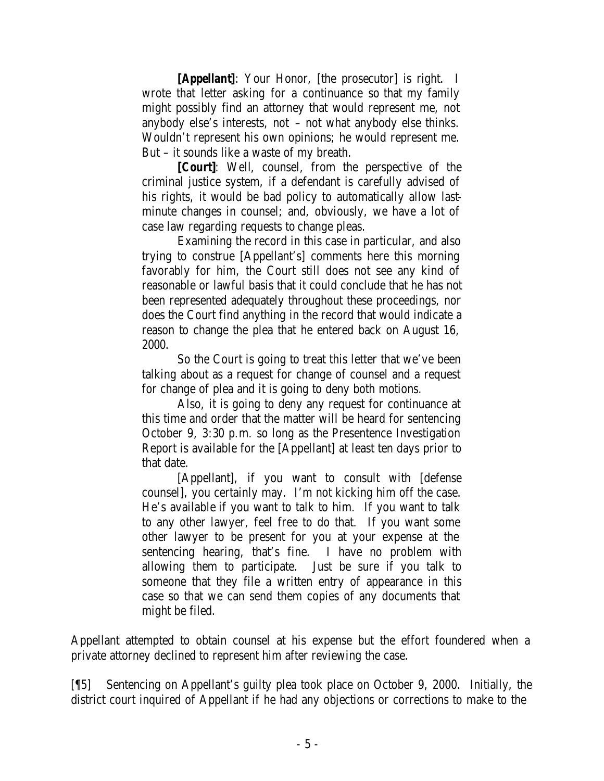**[***Appellant***]**: Your Honor, [the prosecutor] is right. I wrote that letter asking for a continuance so that my family might possibly find an attorney that would represent me, not anybody else's interests, not – not what anybody else thinks. Wouldn't represent his own opinions; he would represent me. But – it sounds like a waste of my breath.

**[***Court***]**: Well, counsel, from the perspective of the criminal justice system, if a defendant is carefully advised of his rights, it would be bad policy to automatically allow lastminute changes in counsel; and, obviously, we have a lot of case law regarding requests to change pleas.

Examining the record in this case in particular, and also trying to construe [Appellant's] comments here this morning favorably for him, the Court still does not see any kind of reasonable or lawful basis that it could conclude that he has not been represented adequately throughout these proceedings, nor does the Court find anything in the record that would indicate a reason to change the plea that he entered back on August 16, 2000.

So the Court is going to treat this letter that we've been talking about as a request for change of counsel and a request for change of plea and it is going to deny both motions.

Also, it is going to deny any request for continuance at this time and order that the matter will be heard for sentencing October 9, 3:30 p.m. so long as the Presentence Investigation Report is available for the [Appellant] at least ten days prior to that date.

[Appellant], if you want to consult with [defense counsel], you certainly may. I'm not kicking him off the case. He's available if you want to talk to him. If you want to talk to any other lawyer, feel free to do that. If you want some other lawyer to be present for you at your expense at the sentencing hearing, that's fine. I have no problem with allowing them to participate. Just be sure if you talk to someone that they file a written entry of appearance in this case so that we can send them copies of any documents that might be filed.

Appellant attempted to obtain counsel at his expense but the effort foundered when a private attorney declined to represent him after reviewing the case.

[¶5] Sentencing on Appellant's guilty plea took place on October 9, 2000. Initially, the district court inquired of Appellant if he had any objections or corrections to make to the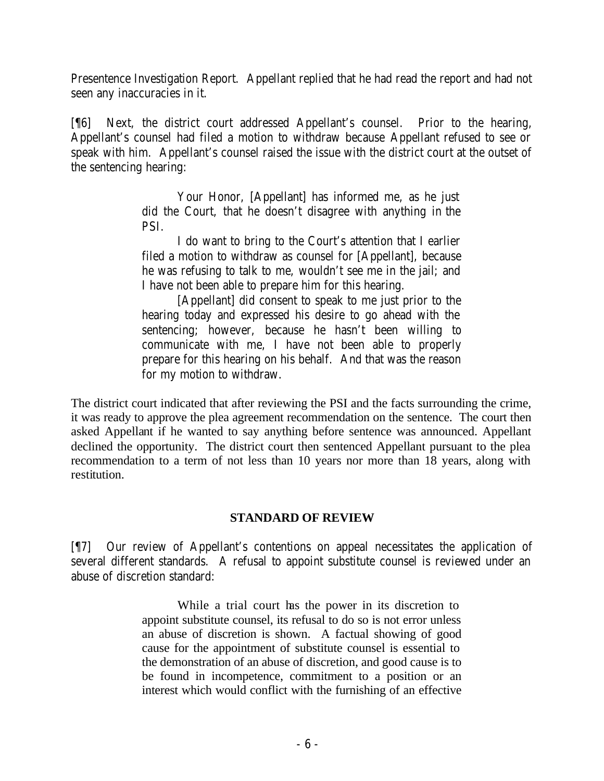Presentence Investigation Report. Appellant replied that he had read the report and had not seen any inaccuracies in it.

[¶6] Next, the district court addressed Appellant's counsel. Prior to the hearing, Appellant's counsel had filed a motion to withdraw because Appellant refused to see or speak with him. Appellant's counsel raised the issue with the district court at the outset of the sentencing hearing:

> Your Honor, [Appellant] has informed me, as he just did the Court, that he doesn't disagree with anything in the PSI.

> I do want to bring to the Court's attention that I earlier filed a motion to withdraw as counsel for [Appellant], because he was refusing to talk to me, wouldn't see me in the jail; and I have not been able to prepare him for this hearing.

> [Appellant] did consent to speak to me just prior to the hearing today and expressed his desire to go ahead with the sentencing; however, because he hasn't been willing to communicate with me, I have not been able to properly prepare for this hearing on his behalf. And that was the reason for my motion to withdraw.

The district court indicated that after reviewing the PSI and the facts surrounding the crime, it was ready to approve the plea agreement recommendation on the sentence. The court then asked Appellant if he wanted to say anything before sentence was announced. Appellant declined the opportunity. The district court then sentenced Appellant pursuant to the plea recommendation to a term of not less than 10 years nor more than 18 years, along with restitution.

## **STANDARD OF REVIEW**

[¶7] Our review of Appellant's contentions on appeal necessitates the application of several different standards. A refusal to appoint substitute counsel is reviewed under an abuse of discretion standard:

> While a trial court has the power in its discretion to appoint substitute counsel, its refusal to do so is not error unless an abuse of discretion is shown. A factual showing of good cause for the appointment of substitute counsel is essential to the demonstration of an abuse of discretion, and good cause is to be found in incompetence, commitment to a position or an interest which would conflict with the furnishing of an effective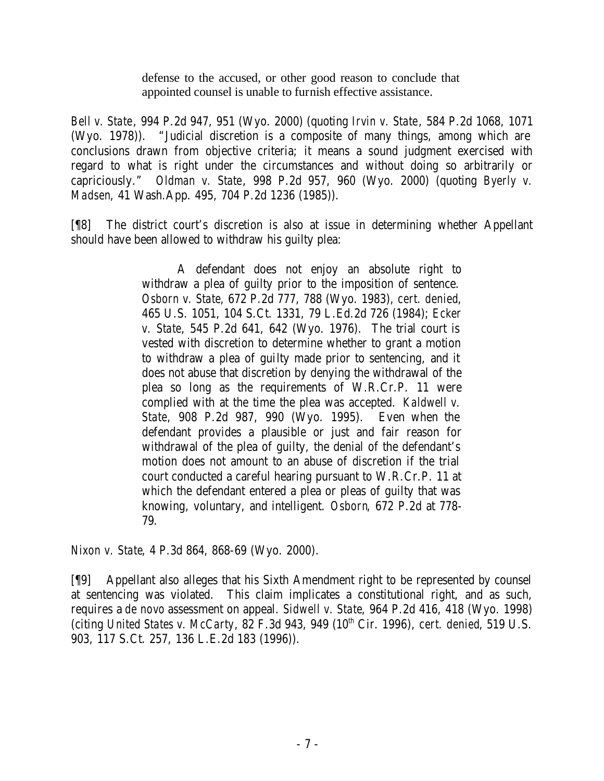defense to the accused, or other good reason to conclude that appointed counsel is unable to furnish effective assistance.

*Bell v. State*, 994 P.2d 947, 951 (Wyo. 2000) (quoting *Irvin v. State*, 584 P.2d 1068, 1071 (Wyo. 1978)). "Judicial discretion is a composite of many things, among which are conclusions drawn from objective criteria; it means a sound judgment exercised with regard to what is right under the circumstances and without doing so arbitrarily or capriciously." *Oldman v. State*, 998 P.2d 957, 960 (Wyo. 2000) (quoting *Byerly v. Madsen*, 41 Wash.App. 495, 704 P.2d 1236 (1985)).

[¶8] The district court's discretion is also at issue in determining whether Appellant should have been allowed to withdraw his guilty plea:

> A defendant does not enjoy an absolute right to withdraw a plea of guilty prior to the imposition of sentence. *Osborn v. State*, 672 P.2d 777, 788 (Wyo. 1983), *cert. denied*, 465 U.S. 1051, 104 S.Ct. 1331, 79 L.Ed.2d 726 (1984); *Ecker v. State*, 545 P.2d 641, 642 (Wyo. 1976). The trial court is vested with discretion to determine whether to grant a motion to withdraw a plea of guilty made prior to sentencing, and it does not abuse that discretion by denying the withdrawal of the plea so long as the requirements of W.R.Cr.P. 11 were complied with at the time the plea was accepted. *Kaldwell v. State*, 908 P.2d 987, 990 (Wyo. 1995). Even when the defendant provides a plausible or just and fair reason for withdrawal of the plea of guilty, the denial of the defendant's motion does not amount to an abuse of discretion if the trial court conducted a careful hearing pursuant to W.R.Cr.P. 11 at which the defendant entered a plea or pleas of guilty that was knowing, voluntary, and intelligent. *Osborn*, 672 P.2d at 778- 79.

*Nixon v. State*, 4 P.3d 864, 868-69 (Wyo. 2000).

[¶9] Appellant also alleges that his Sixth Amendment right to be represented by counsel at sentencing was violated. This claim implicates a constitutional right, and as such, requires a *de novo* assessment on appeal. *Sidwell v. State*, 964 P.2d 416, 418 (Wyo. 1998) (citing *United States v. McCarty*, 82 F.3d 943, 949 (10<sup>th</sup> Cir. 1996), *cert. denied*, 519 U.S. 903, 117 S.Ct. 257, 136 L.E.2d 183 (1996)).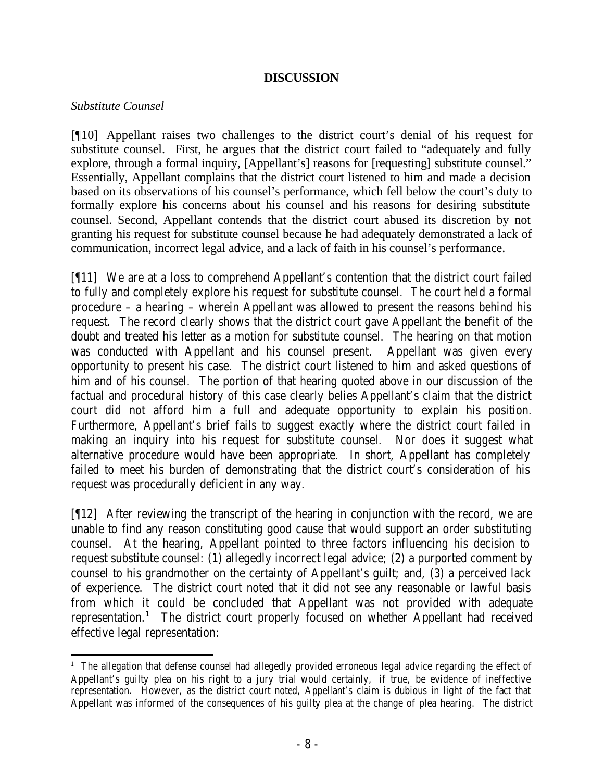#### **DISCUSSION**

#### *Substitute Counsel*

[¶10] Appellant raises two challenges to the district court's denial of his request for substitute counsel. First, he argues that the district court failed to "adequately and fully explore, through a formal inquiry, [Appellant's] reasons for [requesting] substitute counsel." Essentially, Appellant complains that the district court listened to him and made a decision based on its observations of his counsel's performance, which fell below the court's duty to formally explore his concerns about his counsel and his reasons for desiring substitute counsel. Second, Appellant contends that the district court abused its discretion by not granting his request for substitute counsel because he had adequately demonstrated a lack of communication, incorrect legal advice, and a lack of faith in his counsel's performance.

[¶11] We are at a loss to comprehend Appellant's contention that the district court failed to fully and completely explore his request for substitute counsel. The court held a formal procedure – a hearing – wherein Appellant was allowed to present the reasons behind his request. The record clearly shows that the district court gave Appellant the benefit of the doubt and treated his letter as a motion for substitute counsel. The hearing on that motion was conducted with Appellant and his counsel present. Appellant was given every opportunity to present his case. The district court listened to him and asked questions of him and of his counsel. The portion of that hearing quoted above in our discussion of the factual and procedural history of this case clearly belies Appellant's claim that the district court did not afford him a full and adequate opportunity to explain his position. Furthermore, Appellant's brief fails to suggest exactly where the district court failed in making an inquiry into his request for substitute counsel. Nor does it suggest what alternative procedure would have been appropriate. In short, Appellant has completely failed to meet his burden of demonstrating that the district court's consideration of his request was procedurally deficient in any way.

[¶12] After reviewing the transcript of the hearing in conjunction with the record, we are unable to find any reason constituting good cause that would support an order substituting counsel. At the hearing, Appellant pointed to three factors influencing his decision to request substitute counsel: (1) allegedly incorrect legal advice; (2) a purported comment by counsel to his grandmother on the certainty of Appellant's guilt; and, (3) a perceived lack of experience. The district court noted that it did not see any reasonable or lawful basis from which it could be concluded that Appellant was not provided with adequate representation.<sup>1</sup> The district court properly focused on whether Appellant had received effective legal representation:

 <sup>1</sup> The allegation that defense counsel had allegedly provided erroneous legal advice regarding the effect of Appellant's guilty plea on his right to a jury trial would certainly, if true, be evidence of ineffective representation. However, as the district court noted, Appellant's claim is dubious in light of the fact that Appellant was informed of the consequences of his guilty plea at the change of plea hearing. The district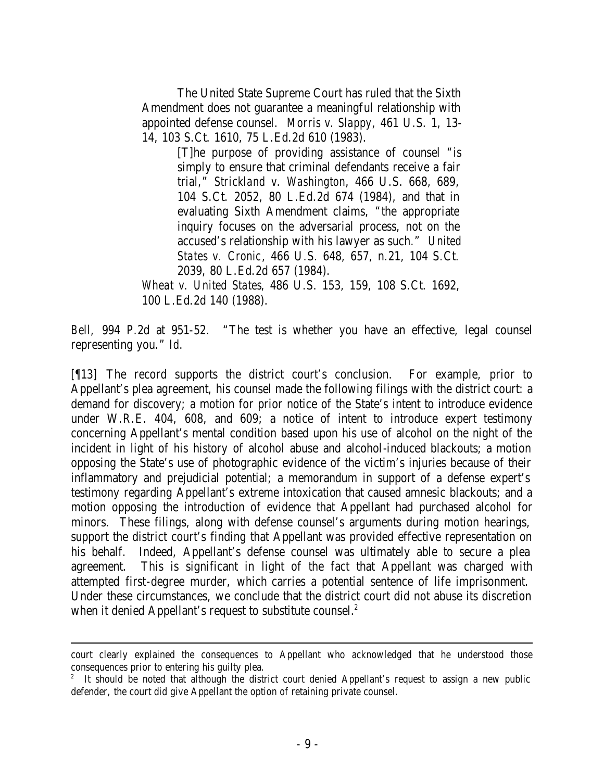The United State Supreme Court has ruled that the Sixth Amendment does not guarantee a meaningful relationship with appointed defense counsel. *Morris v. Slappy*, 461 U.S. 1, 13- 14, 103 S.Ct. 1610, 75 L.Ed.2d 610 (1983).

> [T]he purpose of providing assistance of counsel "is simply to ensure that criminal defendants receive a fair trial," *Strickland v. Washington*, 466 U.S. 668, 689, 104 S.Ct. 2052, 80 L.Ed.2d 674 (1984), and that in evaluating Sixth Amendment claims, "the appropriate inquiry focuses on the adversarial process, not on the accused's relationship with his lawyer as such." *United States v. Cronic*, 466 U.S. 648, 657, n.21, 104 S.Ct. 2039, 80 L.Ed.2d 657 (1984).

*Wheat v. United States*, 486 U.S. 153, 159, 108 S.Ct. 1692, 100 L.Ed.2d 140 (1988).

*Bell,* 994 P.2d at 951-52. "The test is whether you have an effective, legal counsel representing you." *Id.*

[¶13] The record supports the district court's conclusion. For example, prior to Appellant's plea agreement, his counsel made the following filings with the district court: a demand for discovery; a motion for prior notice of the State's intent to introduce evidence under W.R.E. 404, 608, and 609; a notice of intent to introduce expert testimony concerning Appellant's mental condition based upon his use of alcohol on the night of the incident in light of his history of alcohol abuse and alcohol-induced blackouts; a motion opposing the State's use of photographic evidence of the victim's injuries because of their inflammatory and prejudicial potential; a memorandum in support of a defense expert's testimony regarding Appellant's extreme intoxication that caused amnesic blackouts; and a motion opposing the introduction of evidence that Appellant had purchased alcohol for minors. These filings, along with defense counsel's arguments during motion hearings, support the district court's finding that Appellant was provided effective representation on his behalf. Indeed, Appellant's defense counsel was ultimately able to secure a plea agreement. This is significant in light of the fact that Appellant was charged with attempted first-degree murder, which carries a potential sentence of life imprisonment. Under these circumstances, we conclude that the district court did not abuse its discretion when it denied Appellant's request to substitute counsel.<sup>2</sup>

court clearly explained the consequences to Appellant who acknowledged that he understood those consequences prior to entering his guilty plea.

<sup>&</sup>lt;sup>2</sup> It should be noted that although the district court denied Appellant's request to assign a new public defender, the court did give Appellant the option of retaining private counsel.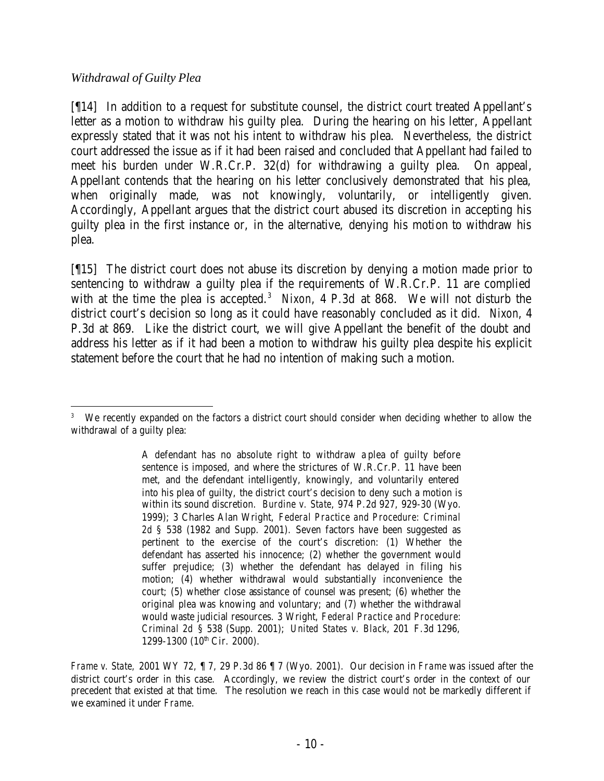## *Withdrawal of Guilty Plea*

[¶14] In addition to a request for substitute counsel, the district court treated Appellant's letter as a motion to withdraw his guilty plea. During the hearing on his letter, Appellant expressly stated that it was not his intent to withdraw his plea. Nevertheless, the district court addressed the issue as if it had been raised and concluded that Appellant had failed to meet his burden under W.R.Cr.P. 32(d) for withdrawing a guilty plea. On appeal, Appellant contends that the hearing on his letter conclusively demonstrated that his plea, when originally made, was not knowingly, voluntarily, or intelligently given. Accordingly, Appellant argues that the district court abused its discretion in accepting his guilty plea in the first instance or, in the alternative, denying his motion to withdraw his plea.

[¶15] The district court does not abuse its discretion by denying a motion made prior to sentencing to withdraw a guilty plea if the requirements of W.R.Cr.P. 11 are complied with at the time the plea is accepted.<sup>3</sup> Nixon, 4 P.3d at 868. We will not disturb the district court's decision so long as it could have reasonably concluded as it did. *Nixon*, 4 P.3d at 869. Like the district court, we will give Appellant the benefit of the doubt and address his letter as if it had been a motion to withdraw his guilty plea despite his explicit statement before the court that he had no intention of making such a motion.

 3 We recently expanded on the factors a district court should consider when deciding whether to allow the withdrawal of a guilty plea:

A defendant has no absolute right to withdraw a plea of guilty before sentence is imposed, and where the strictures of W.R.Cr.P. 11 have been met, and the defendant intelligently, knowingly, and voluntarily entered into his plea of guilty, the district court's decision to deny such a motion is within its sound discretion. *Burdine v. State*, 974 P.2d 927, 929-30 (Wyo. 1999); 3 Charles Alan Wright, *Federal Practice and Procedure: Criminal 2d* § 538 (1982 and Supp. 2001). Seven factors have been suggested as pertinent to the exercise of the court's discretion: (1) Whether the defendant has asserted his innocence; (2) whether the government would suffer prejudice; (3) whether the defendant has delayed in filing his motion; (4) whether withdrawal would substantially inconvenience the court; (5) whether close assistance of counsel was present; (6) whether the original plea was knowing and voluntary; and (7) whether the withdrawal would waste judicial resources. 3 Wright, *Federal Practice and Procedure: Criminal 2d* § 538 (Supp. 2001); *United States v. Black*, 201 F.3d 1296, 1299-1300 (10<sup>th</sup> Cir. 2000).

*Frame v. State,* 2001 WY 72, ¶ 7, 29 P.3d 86 ¶ 7 (Wyo. 2001). Our decision in *Frame* was issued after the district court's order in this case. Accordingly, we review the district court's order in the context of our precedent that existed at that time. The resolution we reach in this case would not be markedly different if we examined it under *Frame*.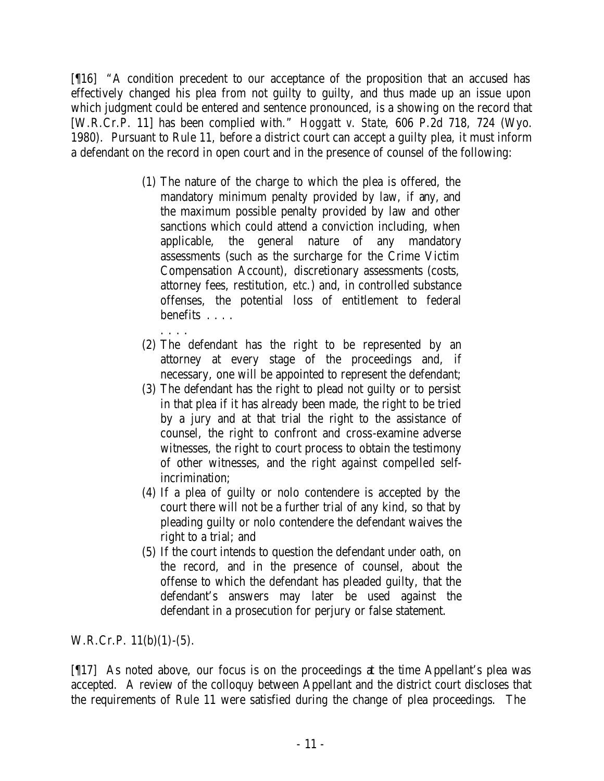[¶16] "A condition precedent to our acceptance of the proposition that an accused has effectively changed his plea from not guilty to guilty, and thus made up an issue upon which judgment could be entered and sentence pronounced, is a showing on the record that [W.R.Cr.P. 11] has been complied with." *Hoggatt v. State*, 606 P.2d 718, 724 (Wyo. 1980). Pursuant to Rule 11, before a district court can accept a guilty plea, it must inform a defendant on the record in open court and in the presence of counsel of the following:

> (1) The nature of the charge to which the plea is offered, the mandatory minimum penalty provided by law, if any, and the maximum possible penalty provided by law and other sanctions which could attend a conviction including, when applicable, the general nature of any mandatory assessments (such as the surcharge for the Crime Victim Compensation Account), discretionary assessments (costs, attorney fees, restitution, *etc*.) and, in controlled substance offenses, the potential loss of entitlement to federal benefits . . . .

. . . .

- (2) The defendant has the right to be represented by an attorney at every stage of the proceedings and, if necessary, one will be appointed to represent the defendant;
- (3) The defendant has the right to plead not guilty or to persist in that plea if it has already been made, the right to be tried by a jury and at that trial the right to the assistance of counsel, the right to confront and cross-examine adverse witnesses, the right to court process to obtain the testimony of other witnesses, and the right against compelled selfincrimination;
- (4) If a plea of guilty or nolo contendere is accepted by the court there will not be a further trial of any kind, so that by pleading guilty or nolo contendere the defendant waives the right to a trial; and
- (5) If the court intends to question the defendant under oath, on the record, and in the presence of counsel, about the offense to which the defendant has pleaded guilty, that the defendant's answers may later be used against the defendant in a prosecution for perjury or false statement.

W.R.Cr.P.  $11(b)(1)-(5)$ .

[¶17] As noted above, our focus is on the proceedings at the time Appellant's plea was accepted. A review of the colloquy between Appellant and the district court discloses that the requirements of Rule 11 were satisfied during the change of plea proceedings. The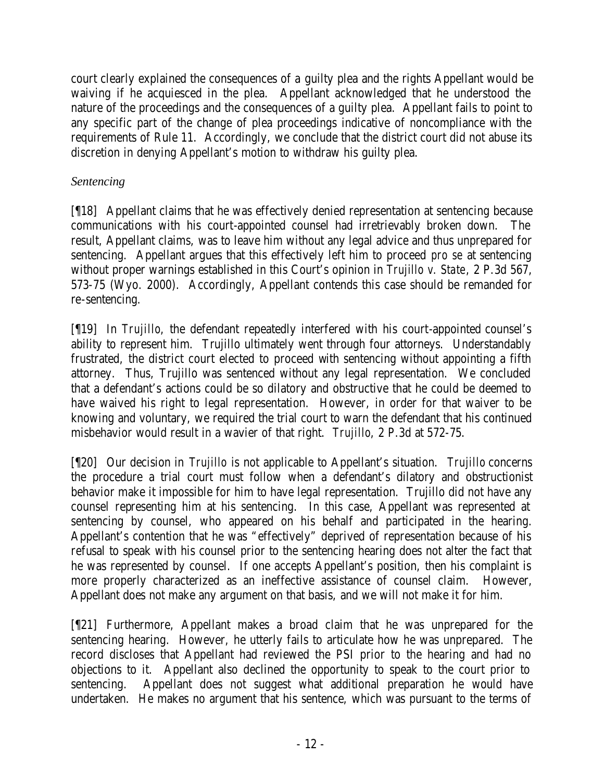court clearly explained the consequences of a guilty plea and the rights Appellant would be waiving if he acquiesced in the plea. Appellant acknowledged that he understood the nature of the proceedings and the consequences of a guilty plea. Appellant fails to point to any specific part of the change of plea proceedings indicative of noncompliance with the requirements of Rule 11. Accordingly, we conclude that the district court did not abuse its discretion in denying Appellant's motion to withdraw his guilty plea.

## *Sentencing*

[¶18] Appellant claims that he was effectively denied representation at sentencing because communications with his court-appointed counsel had irretrievably broken down. The result, Appellant claims, was to leave him without any legal advice and thus unprepared for sentencing. Appellant argues that this effectively left him to proceed *pro se* at sentencing without proper warnings established in this Court's opinion in *Trujillo v. State*, 2 P.3d 567, 573-75 (Wyo. 2000). Accordingly, Appellant contends this case should be remanded for re-sentencing.

[¶19] In *Trujillo*, the defendant repeatedly interfered with his court-appointed counsel's ability to represent him. Trujillo ultimately went through four attorneys. Understandably frustrated, the district court elected to proceed with sentencing without appointing a fifth attorney. Thus, Trujillo was sentenced without any legal representation. We concluded that a defendant's actions could be so dilatory and obstructive that he could be deemed to have waived his right to legal representation. However, in order for that waiver to be knowing and voluntary, we required the trial court to warn the defendant that his continued misbehavior would result in a wavier of that right. *Trujillo*, 2 P.3d at 572-75.

[¶20] Our decision in *Trujillo* is not applicable to Appellant's situation. *Trujillo* concerns the procedure a trial court must follow when a defendant's dilatory and obstructionist behavior make it impossible for him to have legal representation. Trujillo did not have any counsel representing him at his sentencing. In this case, Appellant was represented at sentencing by counsel, who appeared on his behalf and participated in the hearing. Appellant's contention that he was "effectively" deprived of representation because of his refusal to speak with his counsel prior to the sentencing hearing does not alter the fact that he was represented by counsel. If one accepts Appellant's position, then his complaint is more properly characterized as an ineffective assistance of counsel claim. However, Appellant does not make any argument on that basis, and we will not make it for him.

[¶21] Furthermore, Appellant makes a broad claim that he was unprepared for the sentencing hearing. However, he utterly fails to articulate how he was unprepared. The record discloses that Appellant had reviewed the PSI prior to the hearing and had no objections to it. Appellant also declined the opportunity to speak to the court prior to sentencing. Appellant does not suggest what additional preparation he would have undertaken. He makes no argument that his sentence, which was pursuant to the terms of